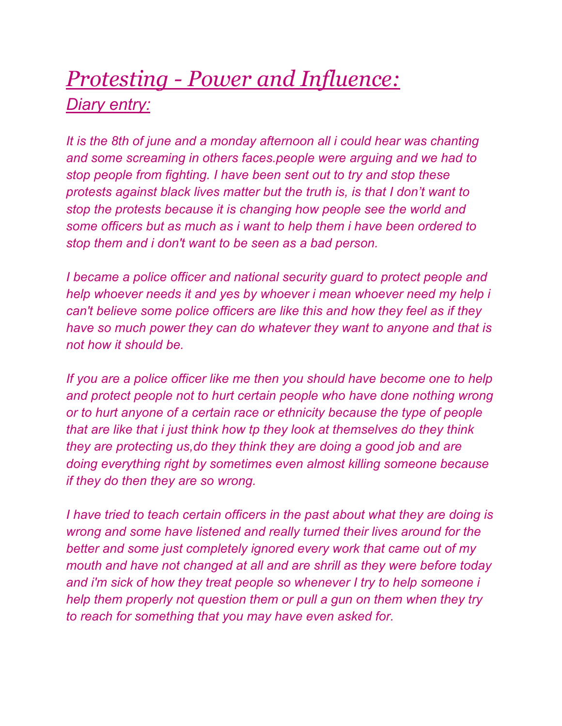## *Protesting - Power and Influence: Diary entry:*

*It is the 8th of june and a monday afternoon all i could hear was chanting and some screaming in others faces.people were arguing and we had to stop people from fighting. I have been sent out to try and stop these protests against black lives matter but the truth is, is that I don't want to stop the protests because it is changing how people see the world and some officers but as much as i want to help them i have been ordered to stop them and i don't want to be seen as a bad person.*

*I became a police officer and national security guard to protect people and help whoever needs it and yes by whoever i mean whoever need my help i can't believe some police officers are like this and how they feel as if they have so much power they can do whatever they want to anyone and that is not how it should be.* 

*If you are a police officer like me then you should have become one to help*  and protect people not to hurt certain people who have done nothing wrong *or to hurt anyone of a certain race or ethnicity because the type of people that are like that i just think how tp they look at themselves do they think they are protecting us,do they think they are doing a good job and are doing everything right by sometimes even almost killing someone because if they do then they are so wrong.*

*I have tried to teach certain officers in the past about what they are doing is wrong and some have listened and really turned their lives around for the better and some just completely ignored every work that came out of my mouth and have not changed at all and are shrill as they were before today and i'm sick of how they treat people so whenever I try to help someone i help them properly not question them or pull a gun on them when they try to reach for something that you may have even asked for.*